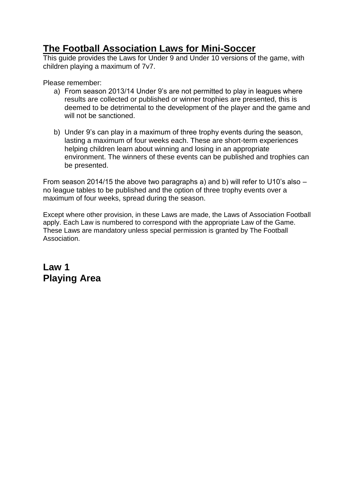## **The Football Association Laws for Mini-Soccer**

This guide provides the Laws for Under 9 and Under 10 versions of the game, with children playing a maximum of 7v7.

Please remember:

- a) From season 2013/14 Under 9's are not permitted to play in leagues where results are collected or published or winner trophies are presented, this is deemed to be detrimental to the development of the player and the game and will not be sanctioned.
- b) Under 9's can play in a maximum of three trophy events during the season, lasting a maximum of four weeks each. These are short-term experiences helping children learn about winning and losing in an appropriate environment. The winners of these events can be published and trophies can be presented.

From season 2014/15 the above two paragraphs a) and b) will refer to U10's also – no league tables to be published and the option of three trophy events over a maximum of four weeks, spread during the season.

Except where other provision, in these Laws are made, the Laws of Association Football apply. Each Law is numbered to correspond with the appropriate Law of the Game. These Laws are mandatory unless special permission is granted by The Football Association.

**Law 1 Playing Area**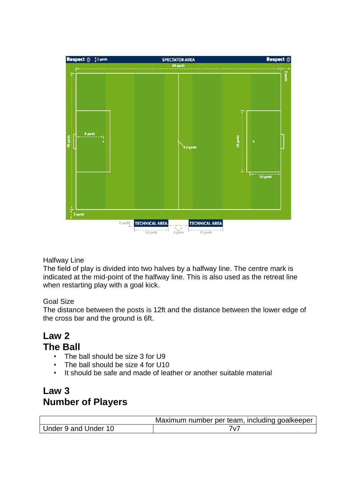

Halfway Line

The field of play is divided into two halves by a halfway line. The centre mark is indicated at the mid-point of the halfway line. This is also used as the retreat line when restarting play with a goal kick.

#### Goal Size

The distance between the posts is 12ft and the distance between the lower edge of the cross bar and the ground is 6ft.

### **Law 2 The Ball**

- The ball should be size 3 for U9
- The ball should be size 4 for U10
- It should be safe and made of leather or another suitable material

### **Law 3 Number of Players**

|                      | Maximum number per team, including goalkeeper |
|----------------------|-----------------------------------------------|
| Under 9 and Under 10 |                                               |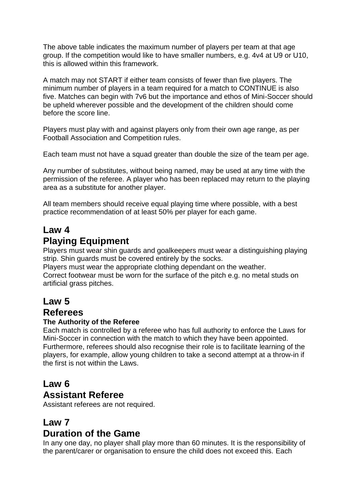The above table indicates the maximum number of players per team at that age group. If the competition would like to have smaller numbers, e.g. 4v4 at U9 or U10, this is allowed within this framework.

A match may not START if either team consists of fewer than five players. The minimum number of players in a team required for a match to CONTINUE is also five. Matches can begin with 7v6 but the importance and ethos of Mini-Soccer should be upheld wherever possible and the development of the children should come before the score line.

Players must play with and against players only from their own age range, as per Football Association and Competition rules.

Each team must not have a squad greater than double the size of the team per age.

Any number of substitutes, without being named, may be used at any time with the permission of the referee. A player who has been replaced may return to the playing area as a substitute for another player.

All team members should receive equal playing time where possible, with a best practice recommendation of at least 50% per player for each game.

# **Law 4 Playing Equipment**

Players must wear shin guards and goalkeepers must wear a distinguishing playing strip. Shin guards must be covered entirely by the socks.

Players must wear the appropriate clothing dependant on the weather.

Correct footwear must be worn for the surface of the pitch e.g. no metal studs on artificial grass pitches.

### **Law 5**

### **Referees**

#### **The Authority of the Referee**

Each match is controlled by a referee who has full authority to enforce the Laws for Mini-Soccer in connection with the match to which they have been appointed. Furthermore, referees should also recognise their role is to facilitate learning of the players, for example, allow young children to take a second attempt at a throw-in if the first is not within the Laws.

### **Law 6 Assistant Referee**

Assistant referees are not required.

### **Law 7**

### **Duration of the Game**

In any one day, no player shall play more than 60 minutes. It is the responsibility of the parent/carer or organisation to ensure the child does not exceed this. Each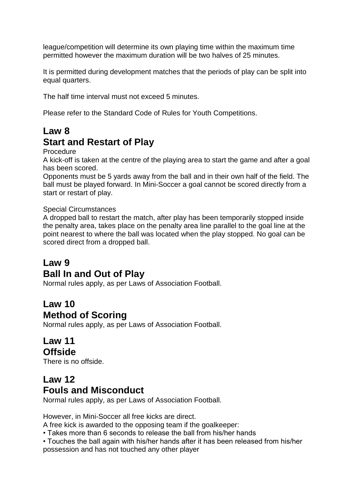league/competition will determine its own playing time within the maximum time permitted however the maximum duration will be two halves of 25 minutes.

It is permitted during development matches that the periods of play can be split into equal quarters.

The half time interval must not exceed 5 minutes.

Please refer to the Standard Code of Rules for Youth Competitions.

## **Law 8 Start and Restart of Play**

#### Procedure

A kick-off is taken at the centre of the playing area to start the game and after a goal has been scored.

Opponents must be 5 yards away from the ball and in their own half of the field. The ball must be played forward. In Mini-Soccer a goal cannot be scored directly from a start or restart of play.

#### Special Circumstances

A dropped ball to restart the match, after play has been temporarily stopped inside the penalty area, takes place on the penalty area line parallel to the goal line at the point nearest to where the ball was located when the play stopped. No goal can be scored direct from a dropped ball.

## **Law 9**

### **Ball In and Out of Play**

Normal rules apply, as per Laws of Association Football.

## **Law 10 Method of Scoring**

Normal rules apply, as per Laws of Association Football.

### **Law 11 Offside**

There is no offside.

## **Law 12 Fouls and Misconduct**

Normal rules apply, as per Laws of Association Football.

However, in Mini-Soccer all free kicks are direct.

A free kick is awarded to the opposing team if the goalkeeper:

• Takes more than 6 seconds to release the ball from his/her hands

• Touches the ball again with his/her hands after it has been released from his/her possession and has not touched any other player